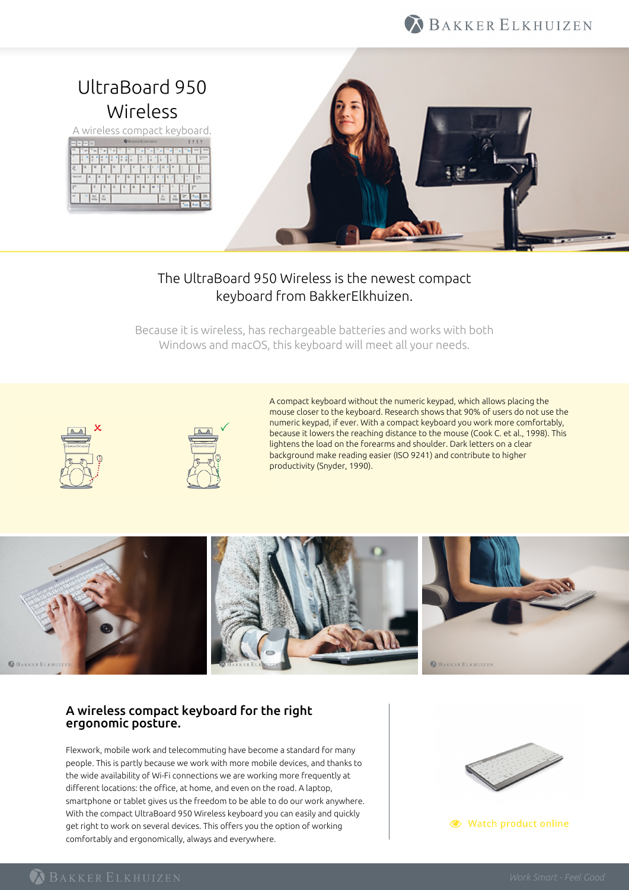# BAKKER ELKHUIZEN



## The UltraBoard 950 Wireless is the newest compact keyboard from BakkerElkhuizen.

Because it is wireless, has rechargeable batteries and works with both Windows and macOS, this keyboard will meet all your needs.





A compact keyboard without the numeric keypad, which allows placing the mouse closer to the keyboard. Research shows that 90% of users do not use the numeric keypad, if ever. With a compact keyboard you work more comfortably, because it lowers the reaching distance to the mouse (Cook C. et al., 1998). This lightens the load on the forearms and shoulder. Dark letters on a clear background make reading easier (ISO 9241) and contribute to higher productivity (Snyder, 1990).



### A wireless compact keyboard for the right ergonomic posture.

Flexwork, mobile work and telecommuting have become a standard for many people. This is partly because we work with more mobile devices, and thanks to the wide availability of Wi-Fi connections we are working more frequently at different locations: the office, at home, and even on the road. A laptop, smartphone or tablet gives us the freedom to be able to do our work anywhere. With the compact UltraBoard 950 Wireless keyboard you can easily and quickly get right to work on several devices. This offers you the option of working comfortably and ergonomically, always and everywhere.



● Watch product online